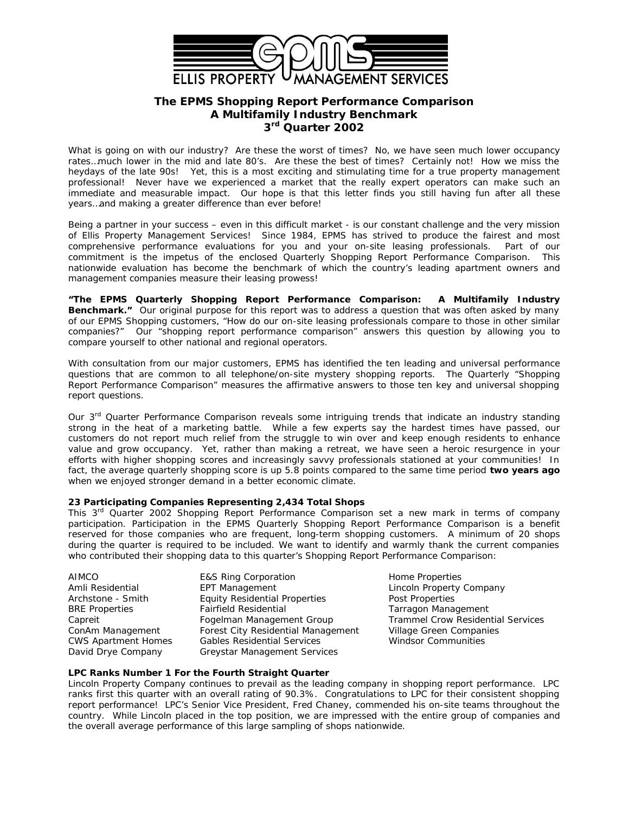

# **The EPMS** *Shopping Report Performance Comparison* **A Multifamily Industry Benchmark 3 rd Quarter 2002**

What is going on with our industry? Are these the worst of times? No, we have seen much lower occupancy rates…much lower in the mid and late 80's. Are these the best of times? Certainly not! How we miss the heydays of the late 90s! Yet, this is a most exciting and stimulating time for a true property management professional! Never have we experienced a market that the really expert operators can make such an immediate and measurable impact. Our hope is that this letter finds you still having fun after all these years…and making a greater difference than ever before!

Being a partner in your success – even in this difficult market - is our constant challenge and the very mission of Ellis Property Management Services! Since 1984, EPMS has strived to produce the fairest and most comprehensive performance evaluations for you and your on-site leasing professionals. Part of our commitment is the impetus of the enclosed *Quarterly Shopping Report Performance Comparison.* This nationwide evaluation has become the benchmark of which the country's leading apartment owners and management companies measure their leasing prowess!

**"The EPMS** *Quarterly Shopping Report Performance Comparison: A Multifamily Industry* **Benchmark."** Our original purpose for this report was to address a question that was often asked by many of our EPMS Shopping customers, "*How do our on-site leasing professionals compare to those in other similar companies?"* Our "shopping report performance comparison" answers this question by allowing you to compare yourself to other national and regional operators.

With consultation from our major customers, EPMS has identified the ten leading and universal performance questions that are common to all telephone/on-site mystery shopping reports. The Quarterly *"Shopping Report Performance Comparison"* measures the affirmative answers to those ten key and universal shopping report questions.

Our 3<sup>rd</sup> Quarter Performance Comparison reveals some intriguing trends that indicate an industry standing strong in the heat of a marketing battle. While a few experts say the hardest times have passed, our customers do not report much relief from the struggle to win over and keep enough residents to enhance value and grow occupancy. Yet, rather than making a retreat, we have seen a heroic resurgence in your efforts with higher shopping scores and increasingly savvy professionals stationed at your communities! In fact, the average quarterly shopping score is up 5.8 points compared to the same time period **two years ago** when we enjoyed stronger demand in a better economic climate.

## **23 Participating Companies Representing 2,434 Total Shops**

This 3 rd Quarter 2002 *Shopping Report Performance Comparison* set a new mark in terms of company participation. Participation in the EPMS Quarterly *Shopping Report Performance Comparison* is a benefit reserved for those companies who are frequent, long-term shopping customers. A minimum of 20 shops during the quarter is required to be included. We want to identify and warmly thank the current companies who contributed their shopping data to this quarter's *Shopping Report Performance Comparison*:

| AIMCO                      | <b>E&amp;S Ring Corporation</b>      |
|----------------------------|--------------------------------------|
| Amli Residential           | EPT Management                       |
| Archstone - Smith          | <b>Equity Residential Properties</b> |
| <b>BRE</b> Properties      | <b>Fairfield Residential</b>         |
| Capreit                    | Fogelman Management Group            |
| ConAm Management           | Forest City Residential Managen      |
| <b>CWS Apartment Homes</b> | <b>Gables Residential Services</b>   |
| David Drye Company         | Greystar Management Services         |
|                            |                                      |

Home Properties Lincoln Property Company Post Properties Tarragon Management Trammel Crow Residential Services nent Village Green Companies Windsor Communities

# **LPC Ranks Number 1 For the Fourth Straight Quarter**

Lincoln Property Company continues to prevail as the leading company in shopping report performance. LPC ranks first this quarter with an overall rating of 90.3%. Congratulations to LPC for their consistent shopping report performance! LPC's Senior Vice President, Fred Chaney, commended his on-site teams throughout the country. While Lincoln placed in the top position, we are impressed with the entire group of companies and the overall average performance of this large sampling of shops nationwide.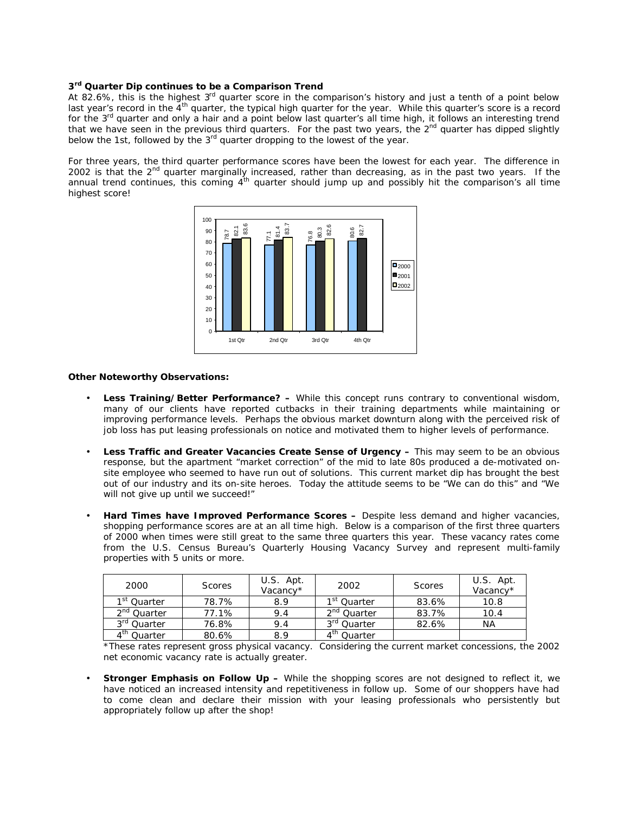### **3 rd Quarter Dip continues to be a Comparison Trend**

At 82.6%, this is the highest 3<sup>rd</sup> quarter score in the comparison's history and just a tenth of a point below last year's record in the  $4^{th}$  quarter, the typical high quarter for the year. While this quarter's score is a record for the 3<sup>rd</sup> quarter and only a hair and a point below last quarter's all time high, it follows an interesting trend that we have seen in the previous third quarters. For the past two years, the  $2<sup>nd</sup>$  quarter has dipped slightly below the 1st, followed by the 3<sup>rd</sup> quarter dropping to the lowest of the year.

For three years, the third quarter performance scores have been the lowest for each year. The difference in 2002 is that the  $2<sup>nd</sup>$  quarter marginally increased, rather than decreasing, as in the past two years. If the annual trend continues, this coming  $4^{\text{th}}$  quarter should jump up and possibly hit the comparison's all time highest score!



#### **Other Noteworthy Observations:**

- **Less Training/Better Performance? –** While this concept runs contrary to conventional wisdom, many of our clients have reported cutbacks in their training departments while maintaining or improving performance levels. Perhaps the obvious market downturn along with the perceived risk of job loss has put leasing professionals on notice and motivated them to higher levels of performance.
- **Less Traffic and Greater Vacancies Create Sense of Urgency –** This may seem to be an obvious response, but the apartment "market correction" of the mid to late 80s produced a de-motivated onsite employee who seemed to have run out of solutions. This current market dip has brought the best out of our industry and its on-site heroes. Today the attitude seems to be "We can do this" and "We will not give up until we succeed!"
- **Hard Times have** *Improved* **Performance Scores –** Despite less demand and higher vacancies, shopping performance scores are at an all time high. Below is a comparison of the first three quarters of 2000 when times were still great to the same three quarters this year. These vacancy rates come from the *U.S. Census Bureau's Quarterly Housing Vacancy Survey* and represent multi-family properties with 5 units or more.

| 2000                    | <b>Scores</b> | U.S. Apt.<br>Vacancv* | 2002                    | <b>Scores</b> | U.S. Apt.<br>Vacancy* |
|-------------------------|---------------|-----------------------|-------------------------|---------------|-----------------------|
| 1 <sup>st</sup> Quarter | 78.7%         | 8.9                   | 1 <sup>st</sup> Ouarter | 83.6%         | 10.8                  |
| 2 <sup>nd</sup> Quarter | 77.1%         | 9.4                   | 2 <sup>nd</sup> Quarter | 83.7%         | 10.4                  |
| 3 <sup>rd</sup> Quarter | 76.8%         | 9.4                   | 3 <sup>ra</sup> Ouarter | 82.6%         | ΝA                    |
| 4 <sup>th</sup> Quarter | 80.6%         | 8.9                   | 4 <sup>th</sup> Quarter |               |                       |

\*These rates represent gross physical vacancy. Considering the current market concessions, the 2002 net economic vacancy rate is actually greater.

• **Stronger Emphasis on Follow Up –** While the shopping scores are not designed to reflect it, we have noticed an increased intensity and repetitiveness in follow up. Some of our shoppers have had to come clean and declare their mission with your leasing professionals who persistently but appropriately follow up after the shop!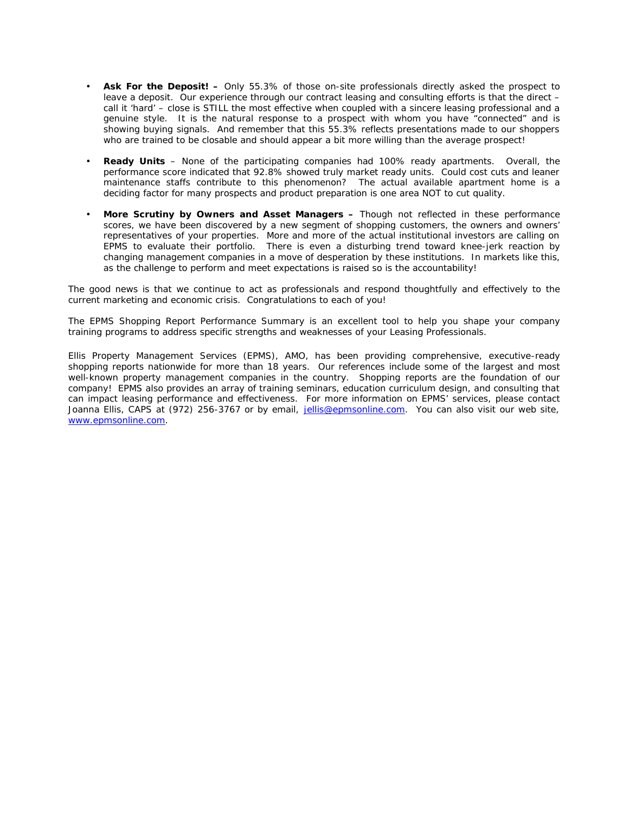- **Ask For the Deposit! –** Only 55.3% of those on-site professionals directly asked the prospect to leave a deposit. Our experience through our contract leasing and consulting efforts is that the direct – call it 'hard' – close is STILL the most effective when coupled with a sincere leasing professional and a genuine style. It is the *natural* response to a prospect with whom you have "connected" and is showing buying signals. And remember that this 55.3% reflects presentations made to our shoppers who are trained to be closable and should appear a bit more willing than the average prospect!
- **Ready Units** None of the participating companies had 100% ready apartments. Overall, the performance score indicated that 92.8% showed truly market ready units. Could cost cuts and leaner maintenance staffs contribute to this phenomenon? The actual available apartment home is a deciding factor for many prospects and product preparation is one area NOT to cut quality.
- **More Scrutiny by Owners and Asset Managers –** Though not reflected in these performance scores, we have been discovered by a new segment of shopping customers, the owners and owners' representatives of your properties. More and more of the actual institutional investors are calling on EPMS to evaluate their portfolio. There is even a disturbing trend toward knee-jerk reaction by changing management companies in a move of desperation by these institutions. In markets like this, as the challenge to perform and meet expectations is raised so is the accountability!

The good news is that we continue to act as professionals and respond thoughtfully and effectively to the current marketing and economic crisis. Congratulations to each of you!

The *EPMS Shopping Report Performance Summary* is an excellent tool to help you shape your company training programs to address specific strengths and weaknesses of your Leasing Professionals.

Ellis Property Management Services (EPMS), AMO, has been providing comprehensive, executive-ready shopping reports nationwide for more than 18 years. Our references include some of the largest and most well-known property management companies in the country. Shopping reports are the foundation of our company! EPMS also provides an array of training seminars, education curriculum design, and consulting that can impact leasing performance and effectiveness. For more information on EPMS' services, please contact Joanna Ellis, CAPS at (972) 256-3767 or by email, jellis@epmsonline.com. You can also visit our web site, www.epmsonline.com.